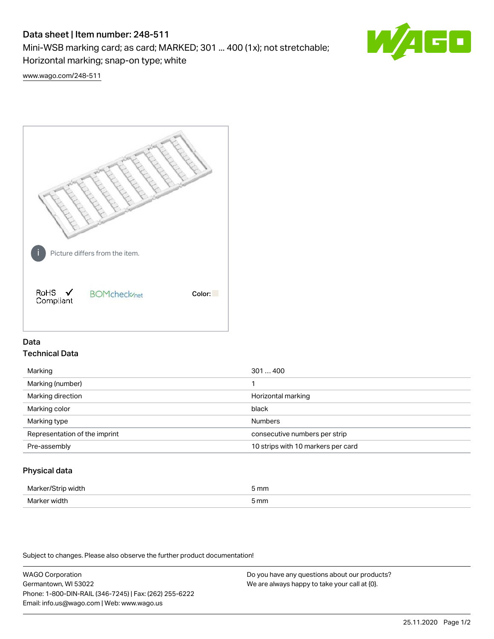# Data sheet | Item number: 248-511

Mini-WSB marking card; as card; MARKED; 301 ... 400 (1x); not stretchable;

Horizontal marking; snap-on type; white



[www.wago.com/248-511](http://www.wago.com/248-511)



## Data Technical Data

| Marking                       | 301400                             |
|-------------------------------|------------------------------------|
| Marking (number)              |                                    |
| Marking direction             | Horizontal marking                 |
| Marking color                 | black                              |
| Marking type                  | <b>Numbers</b>                     |
| Representation of the imprint | consecutive numbers per strip      |
| Pre-assembly                  | 10 strips with 10 markers per card |
|                               |                                    |

## Physical data

| Mar                      | 5 mm |
|--------------------------|------|
| M <sub>cr</sub><br>width | 5 mm |

Subject to changes. Please also observe the further product documentation!

WAGO Corporation Germantown, WI 53022 Phone: 1-800-DIN-RAIL (346-7245) | Fax: (262) 255-6222 Email: info.us@wago.com | Web: www.wago.us Do you have any questions about our products? We are always happy to take your call at {0}.

25.11.2020 Page 1/2